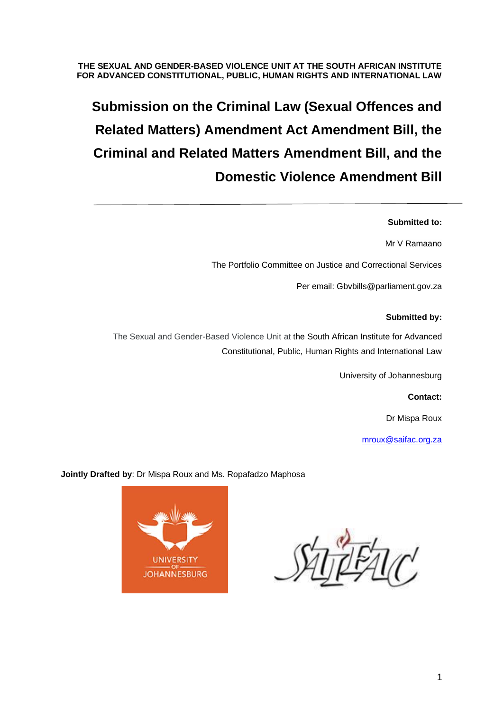#### **THE SEXUAL AND GENDER-BASED VIOLENCE UNIT AT THE SOUTH AFRICAN INSTITUTE FOR ADVANCED CONSTITUTIONAL, PUBLIC, HUMAN RIGHTS AND INTERNATIONAL LAW**

# **Submission on the Criminal Law (Sexual Offences and Related Matters) Amendment Act Amendment Bill, the Criminal and Related Matters Amendment Bill, and the Domestic Violence Amendment Bill**

#### **Submitted to:**

Mr V Ramaano

The Portfolio Committee on Justice and Correctional Services

Per email: Gbvbills@parliament.gov.za

#### **Submitted by:**

The Sexual and Gender-Based Violence Unit at the South African Institute for Advanced Constitutional, Public, Human Rights and International Law

University of Johannesburg

**Contact:**

Dr Mispa Roux

[mroux@saifac.org.za](mailto:mroux@saifac.org.za)

**Jointly Drafted by**: Dr Mispa Roux and Ms. Ropafadzo Maphosa

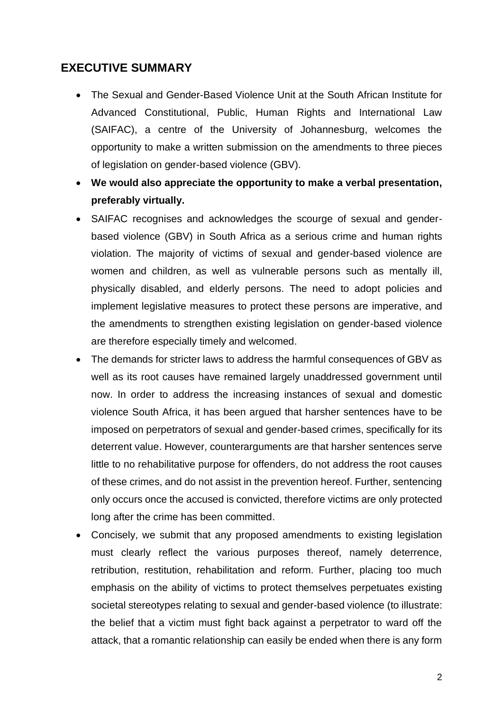# **EXECUTIVE SUMMARY**

- The Sexual and Gender-Based Violence Unit at the South African Institute for Advanced Constitutional, Public, Human Rights and International Law (SAIFAC), a centre of the University of Johannesburg, welcomes the opportunity to make a written submission on the amendments to three pieces of legislation on gender-based violence (GBV).
- **We would also appreciate the opportunity to make a verbal presentation, preferably virtually.**
- SAIFAC recognises and acknowledges the scourge of sexual and genderbased violence (GBV) in South Africa as a serious crime and human rights violation. The majority of victims of sexual and gender-based violence are women and children, as well as vulnerable persons such as mentally ill, physically disabled, and elderly persons. The need to adopt policies and implement legislative measures to protect these persons are imperative, and the amendments to strengthen existing legislation on gender-based violence are therefore especially timely and welcomed.
- The demands for stricter laws to address the harmful consequences of GBV as well as its root causes have remained largely unaddressed government until now. In order to address the increasing instances of sexual and domestic violence South Africa, it has been argued that harsher sentences have to be imposed on perpetrators of sexual and gender-based crimes, specifically for its deterrent value. However, counterarguments are that harsher sentences serve little to no rehabilitative purpose for offenders, do not address the root causes of these crimes, and do not assist in the prevention hereof. Further, sentencing only occurs once the accused is convicted, therefore victims are only protected long after the crime has been committed.
- Concisely, we submit that any proposed amendments to existing legislation must clearly reflect the various purposes thereof, namely deterrence, retribution, restitution, rehabilitation and reform. Further, placing too much emphasis on the ability of victims to protect themselves perpetuates existing societal stereotypes relating to sexual and gender-based violence (to illustrate: the belief that a victim must fight back against a perpetrator to ward off the attack, that a romantic relationship can easily be ended when there is any form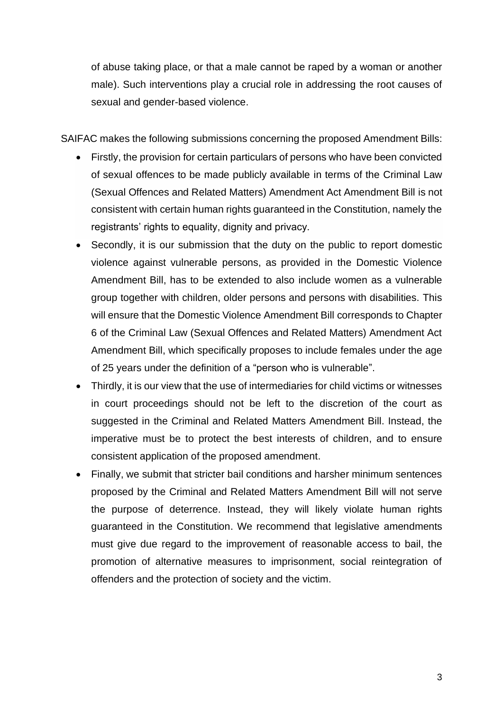of abuse taking place, or that a male cannot be raped by a woman or another male). Such interventions play a crucial role in addressing the root causes of sexual and gender-based violence.

SAIFAC makes the following submissions concerning the proposed Amendment Bills:

- Firstly, the provision for certain particulars of persons who have been convicted of sexual offences to be made publicly available in terms of the Criminal Law (Sexual Offences and Related Matters) Amendment Act Amendment Bill is not consistent with certain human rights guaranteed in the Constitution, namely the registrants' rights to equality, dignity and privacy.
- Secondly, it is our submission that the duty on the public to report domestic violence against vulnerable persons, as provided in the Domestic Violence Amendment Bill, has to be extended to also include women as a vulnerable group together with children, older persons and persons with disabilities. This will ensure that the Domestic Violence Amendment Bill corresponds to Chapter 6 of the Criminal Law (Sexual Offences and Related Matters) Amendment Act Amendment Bill, which specifically proposes to include females under the age of 25 years under the definition of a "person who is vulnerable".
- Thirdly, it is our view that the use of intermediaries for child victims or witnesses in court proceedings should not be left to the discretion of the court as suggested in the Criminal and Related Matters Amendment Bill. Instead, the imperative must be to protect the best interests of children, and to ensure consistent application of the proposed amendment.
- Finally, we submit that stricter bail conditions and harsher minimum sentences proposed by the Criminal and Related Matters Amendment Bill will not serve the purpose of deterrence. Instead, they will likely violate human rights guaranteed in the Constitution. We recommend that legislative amendments must give due regard to the improvement of reasonable access to bail, the promotion of alternative measures to imprisonment, social reintegration of offenders and the protection of society and the victim.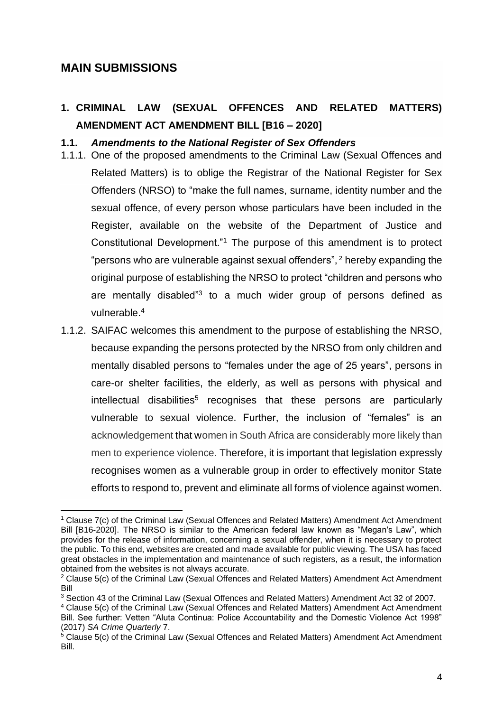# **MAIN SUBMISSIONS**

# **1. CRIMINAL LAW (SEXUAL OFFENCES AND RELATED MATTERS) AMENDMENT ACT AMENDMENT BILL [B16 – 2020]**

### **1.1.** *Amendments to the National Register of Sex Offenders*

- 1.1.1. One of the proposed amendments to the Criminal Law (Sexual Offences and Related Matters) is to oblige the Registrar of the National Register for Sex Offenders (NRSO) to "make the full names, surname, identity number and the sexual offence, of every person whose particulars have been included in the Register, available on the website of the Department of Justice and Constitutional Development."<sup>1</sup> The purpose of this amendment is to protect "persons who are vulnerable against sexual offenders", <sup>2</sup> hereby expanding the original purpose of establishing the NRSO to protect "children and persons who are mentally disabled"<sup>3</sup> to a much wider group of persons defined as vulnerable. 4
- 1.1.2. SAIFAC welcomes this amendment to the purpose of establishing the NRSO, because expanding the persons protected by the NRSO from only children and mentally disabled persons to "females under the age of 25 years", persons in care-or shelter facilities, the elderly, as well as persons with physical and intellectual disabilities<sup>5</sup> recognises that these persons are particularly vulnerable to sexual violence. Further, the inclusion of "females" is an acknowledgement that women in South Africa are considerably more likely than men to experience violence. Therefore, it is important that legislation expressly recognises women as a vulnerable group in order to effectively monitor State efforts to respond to, prevent and eliminate all forms of violence against women.

<sup>&</sup>lt;sup>1</sup> Clause 7(c) of the Criminal Law (Sexual Offences and Related Matters) Amendment Act Amendment Bill [B16-2020]. The NRSO is similar to the American federal law known as "Megan's Law", which provides for the release of information, concerning a sexual offender, when it is necessary to protect the public. To this end, websites are created and made available for public viewing. The USA has faced great obstacles in the implementation and maintenance of such registers, as a result, the information obtained from the websites is not always accurate.

 $2$  Clause 5(c) of the Criminal Law (Sexual Offences and Related Matters) Amendment Act Amendment Bill

<sup>3</sup> Section 43 of the Criminal Law (Sexual Offences and Related Matters) Amendment Act 32 of 2007.

<sup>4</sup> Clause 5(c) of the Criminal Law (Sexual Offences and Related Matters) Amendment Act Amendment Bill. See further: Vetten "Aluta Continua: Police Accountability and the Domestic Violence Act 1998" (2017) *SA Crime Quarterly* 7.

 $5$  Clause 5(c) of the Criminal Law (Sexual Offences and Related Matters) Amendment Act Amendment Bill.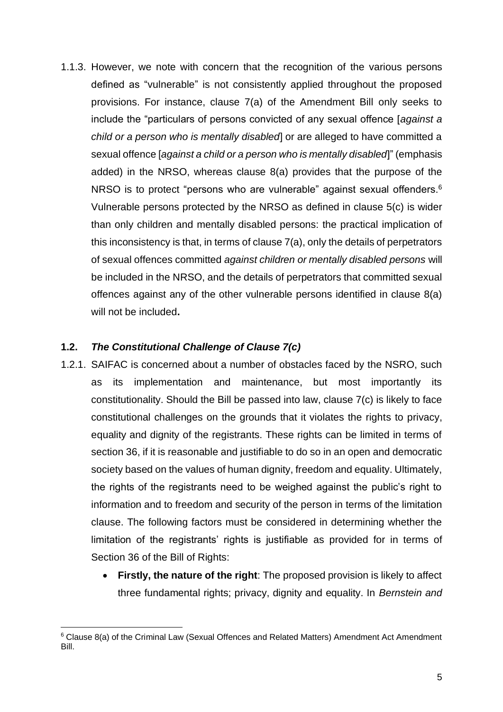1.1.3. However, we note with concern that the recognition of the various persons defined as "vulnerable" is not consistently applied throughout the proposed provisions. For instance, clause 7(a) of the Amendment Bill only seeks to include the "particulars of persons convicted of any sexual offence [*against a child or a person who is mentally disabled*] or are alleged to have committed a sexual offence [*against a child or a person who is mentally disabled*]" (emphasis added) in the NRSO, whereas clause 8(a) provides that the purpose of the NRSO is to protect "persons who are vulnerable" against sexual offenders.<sup>6</sup> Vulnerable persons protected by the NRSO as defined in clause 5(c) is wider than only children and mentally disabled persons: the practical implication of this inconsistency is that, in terms of clause 7(a), only the details of perpetrators of sexual offences committed *against children or mentally disabled persons* will be included in the NRSO, and the details of perpetrators that committed sexual offences against any of the other vulnerable persons identified in clause 8(a) will not be included**.** 

## **1.2.** *The Constitutional Challenge of Clause 7(c)*

- 1.2.1. SAIFAC is concerned about a number of obstacles faced by the NSRO, such as its implementation and maintenance, but most importantly its constitutionality. Should the Bill be passed into law, clause 7(c) is likely to face constitutional challenges on the grounds that it violates the rights to privacy, equality and dignity of the registrants. These rights can be limited in terms of section 36, if it is reasonable and justifiable to do so in an open and democratic society based on the values of human dignity, freedom and equality. Ultimately, the rights of the registrants need to be weighed against the public's right to information and to freedom and security of the person in terms of the limitation clause. The following factors must be considered in determining whether the limitation of the registrants' rights is justifiable as provided for in terms of Section 36 of the Bill of Rights:
	- **Firstly, the nature of the right**: The proposed provision is likely to affect three fundamental rights; privacy, dignity and equality. In *Bernstein and*

<sup>6</sup> Clause 8(a) of the Criminal Law (Sexual Offences and Related Matters) Amendment Act Amendment Bill.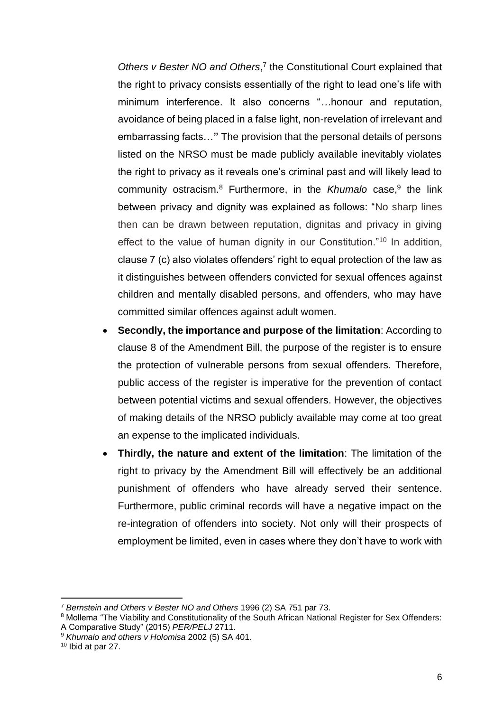<span id="page-5-0"></span>Others v Bester NO and Others,<sup>7</sup> the Constitutional Court explained that the right to privacy consists essentially of the right to lead one's life with minimum interference. It also concerns "*…*honour and reputation, avoidance of being placed in a false light, non-revelation of irrelevant and embarrassing facts…**"** The provision that the personal details of persons listed on the NRSO must be made publicly available inevitably violates the right to privacy as it reveals one's criminal past and will likely lead to community ostracism.<sup>8</sup> Furthermore, in the *Khumalo* case,<sup>9</sup> the link between privacy and dignity was explained as follows: "No sharp lines then can be drawn between reputation, dignitas and privacy in giving effect to the value of human dignity in our Constitution."<sup>10</sup> In addition, clause 7 (c) also violates offenders' right to equal protection of the law as it distinguishes between offenders convicted for sexual offences against children and mentally disabled persons, and offenders, who may have committed similar offences against adult women.

- **Secondly, the importance and purpose of the limitation**: According to clause 8 of the Amendment Bill, the purpose of the register is to ensure the protection of vulnerable persons from sexual offenders. Therefore, public access of the register is imperative for the prevention of contact between potential victims and sexual offenders. However, the objectives of making details of the NRSO publicly available may come at too great an expense to the implicated individuals.
- **Thirdly, the nature and extent of the limitation**: The limitation of the right to privacy by the Amendment Bill will effectively be an additional punishment of offenders who have already served their sentence. Furthermore, public criminal records will have a negative impact on the re-integration of offenders into society. Not only will their prospects of employment be limited, even in cases where they don't have to work with

<sup>7</sup> *Bernstein and Others v Bester NO and Others* 1996 (2) SA 751 par 73.

<sup>8</sup> Mollema "The Viability and Constitutionality of the South African National Register for Sex Offenders: A Comparative Study" (2015) *PER/PELJ* 2711.

<sup>9</sup> *Khumalo and others v Holomisa* 2002 (5) SA 401.

<sup>10</sup> Ibid at par 27.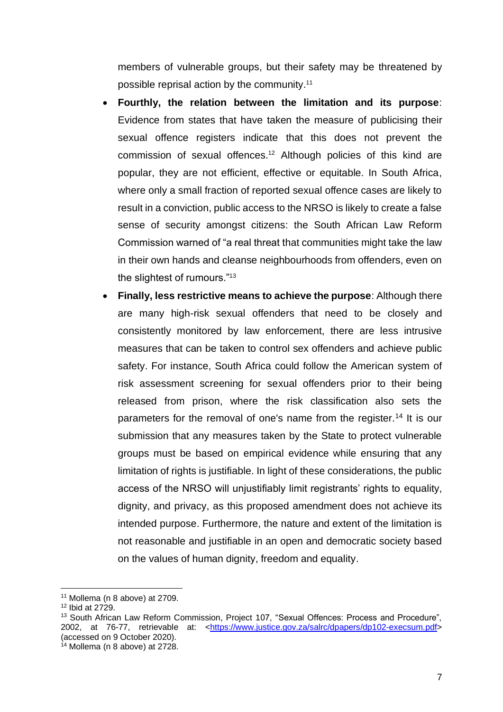members of vulnerable groups, but their safety may be threatened by possible reprisal action by the community. 11

- **Fourthly, the relation between the limitation and its purpose**: Evidence from states that have taken the measure of publicising their sexual offence registers indicate that this does not prevent the commission of sexual offences.<sup>12</sup> Although policies of this kind are popular, they are not efficient, effective or equitable. In South Africa, where only a small fraction of reported sexual offence cases are likely to result in a conviction, public access to the NRSO is likely to create a false sense of security amongst citizens: the South African Law Reform Commission warned of "a real threat that communities might take the law in their own hands and cleanse neighbourhoods from offenders, even on the slightest of rumours."<sup>13</sup>
- **Finally, less restrictive means to achieve the purpose**: Although there are many high-risk sexual offenders that need to be closely and consistently monitored by law enforcement, there are less intrusive measures that can be taken to control sex offenders and achieve public safety. For instance, South Africa could follow the American system of risk assessment screening for sexual offenders prior to their being released from prison, where the risk classification also sets the parameters for the removal of one's name from the register.<sup>14</sup> It is our submission that any measures taken by the State to protect vulnerable groups must be based on empirical evidence while ensuring that any limitation of rights is justifiable. In light of these considerations, the public access of the NRSO will unjustifiably limit registrants' rights to equality, dignity, and privacy, as this proposed amendment does not achieve its intended purpose. Furthermore, the nature and extent of the limitation is not reasonable and justifiable in an open and democratic society based on the values of human dignity, freedom and equality.

 $11$  Mollema (n [8](#page-5-0) above) at 2709.

<sup>12</sup> Ibid at 2729.

<sup>&</sup>lt;sup>13</sup> South African Law Reform Commission, Project 107, "Sexual Offences: Process and Procedure", 2002, at 76-77, retrievable at: [<https://www.justice.gov.za/salrc/dpapers/dp102-execsum.pdf>](https://www.justice.gov.za/salrc/dpapers/dp102-execsum.pdf) (accessed on 9 October 2020).

 $14$  Mollema (n [8](#page-5-0) above) at 2728.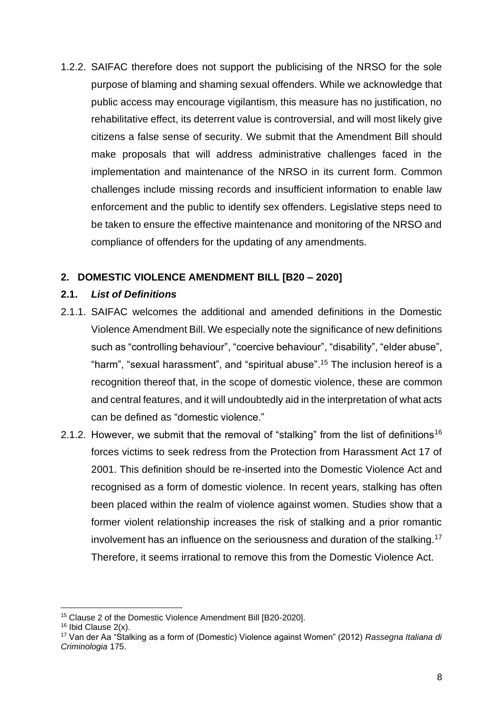1.2.2. SAIFAC therefore does not support the publicising of the NRSO for the sole purpose of blaming and shaming sexual offenders. While we acknowledge that public access may encourage vigilantism, this measure has no justification, no rehabilitative effect, its deterrent value is controversial, and will most likely give citizens a false sense of security. We submit that the Amendment Bill should make proposals that will address administrative challenges faced in the implementation and maintenance of the NRSO in its current form. Common challenges include missing records and insufficient information to enable law enforcement and the public to identify sex offenders. Legislative steps need to be taken to ensure the effective maintenance and monitoring of the NRSO and compliance of offenders for the updating of any amendments.

# **2. DOMESTIC VIOLENCE AMENDMENT BILL [B20 – 2020]**

### **2.1.** *List of Definitions*

- 2.1.1. SAIFAC welcomes the additional and amended definitions in the Domestic Violence Amendment Bill. We especially note the significance of new definitions such as "controlling behaviour", "coercive behaviour", "disability", "elder abuse", "harm", "sexual harassment", and "spiritual abuse".<sup>15</sup> The inclusion hereof is a recognition thereof that, in the scope of domestic violence, these are common and central features, and it will undoubtedly aid in the interpretation of what acts can be defined as "domestic violence."
- 2.1.2. However, we submit that the removal of "stalking" from the list of definitions<sup>16</sup> forces victims to seek redress from the Protection from Harassment Act 17 of 2001. This definition should be re-inserted into the Domestic Violence Act and recognised as a form of domestic violence. In recent years, stalking has often been placed within the realm of violence against women. Studies show that a former violent relationship increases the risk of stalking and a prior romantic involvement has an influence on the seriousness and duration of the stalking.<sup>17</sup> Therefore, it seems irrational to remove this from the Domestic Violence Act.

<sup>15</sup> Clause 2 of the Domestic Violence Amendment Bill [B20-2020].

<sup>&</sup>lt;sup>16</sup> Ibid Clause 2(x).

<sup>17</sup> Van der Aa "Stalking as a form of (Domestic) Violence against Women" (2012) *Rassegna Italiana di Criminologia* 175.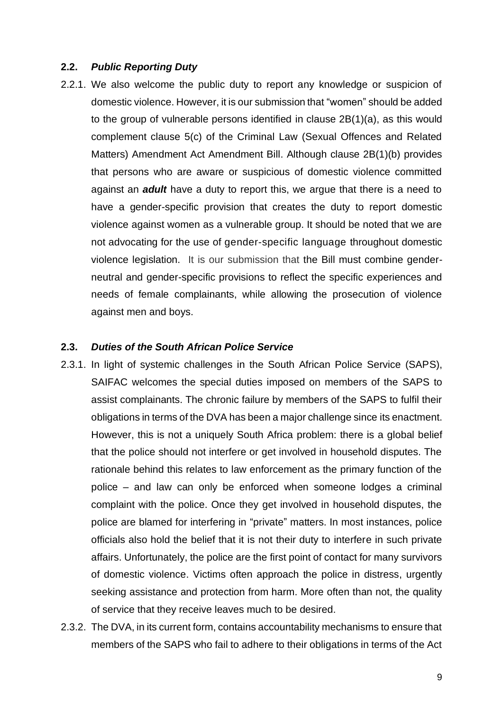#### **2.2.** *Public Reporting Duty*

2.2.1. We also welcome the public duty to report any knowledge or suspicion of domestic violence. However, it is our submission that "women" should be added to the group of vulnerable persons identified in clause 2B(1)(a), as this would complement clause 5(c) of the Criminal Law (Sexual Offences and Related Matters) Amendment Act Amendment Bill. Although clause 2B(1)(b) provides that persons who are aware or suspicious of domestic violence committed against an *adult* have a duty to report this, we argue that there is a need to have a gender-specific provision that creates the duty to report domestic violence against women as a vulnerable group. It should be noted that we are not advocating for the use of gender-specific language throughout domestic violence legislation. It is our submission that the Bill must combine genderneutral and gender-specific provisions to reflect the specific experiences and needs of female complainants, while allowing the prosecution of violence against men and boys.

#### **2.3.** *Duties of the South African Police Service*

- 2.3.1. In light of systemic challenges in the South African Police Service (SAPS), SAIFAC welcomes the special duties imposed on members of the SAPS to assist complainants. The chronic failure by members of the SAPS to fulfil their obligations in terms of the DVA has been a major challenge since its enactment. However, this is not a uniquely South Africa problem: there is a global belief that the police should not interfere or get involved in household disputes. The rationale behind this relates to law enforcement as the primary function of the police – and law can only be enforced when someone lodges a criminal complaint with the police. Once they get involved in household disputes, the police are blamed for interfering in "private" matters. In most instances, police officials also hold the belief that it is not their duty to interfere in such private affairs. Unfortunately, the police are the first point of contact for many survivors of domestic violence. Victims often approach the police in distress, urgently seeking assistance and protection from harm. More often than not, the quality of service that they receive leaves much to be desired.
- 2.3.2. The DVA, in its current form, contains accountability mechanisms to ensure that members of the SAPS who fail to adhere to their obligations in terms of the Act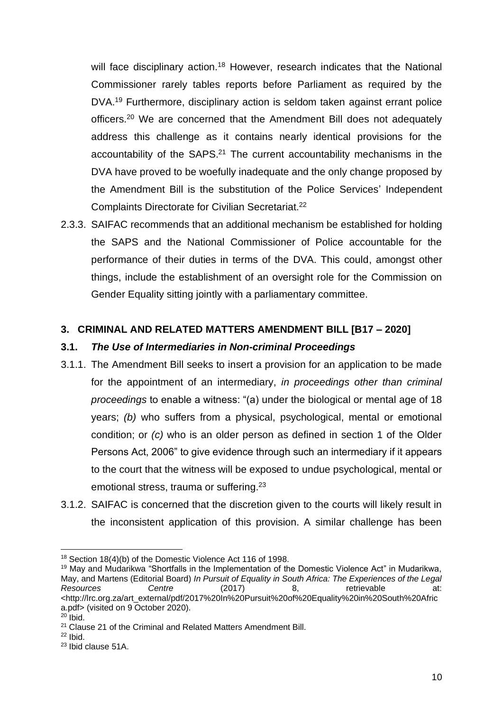will face disciplinary action.<sup>18</sup> However, research indicates that the National Commissioner rarely tables reports before Parliament as required by the DVA.<sup>19</sup> Furthermore, disciplinary action is seldom taken against errant police officers.<sup>20</sup> We are concerned that the Amendment Bill does not adequately address this challenge as it contains nearly identical provisions for the accountability of the SAPS.<sup>21</sup> The current accountability mechanisms in the DVA have proved to be woefully inadequate and the only change proposed by the Amendment Bill is the substitution of the Police Services' Independent Complaints Directorate for Civilian Secretariat.<sup>22</sup>

2.3.3. SAIFAC recommends that an additional mechanism be established for holding the SAPS and the National Commissioner of Police accountable for the performance of their duties in terms of the DVA. This could, amongst other things, include the establishment of an oversight role for the Commission on Gender Equality sitting jointly with a parliamentary committee.

## **3. CRIMINAL AND RELATED MATTERS AMENDMENT BILL [B17 – 2020]**

## **3.1.** *The Use of Intermediaries in Non-criminal Proceedings*

- 3.1.1. The Amendment Bill seeks to insert a provision for an application to be made for the appointment of an intermediary, *in proceedings other than criminal proceedings* to enable a witness: "(a) under the biological or mental age of 18 years; *(b)* who suffers from a physical, psychological, mental or emotional condition; or *(c)* who is an older person as defined in section 1 of the Older Persons Act, 2006" to give evidence through such an intermediary if it appears to the court that the witness will be exposed to undue psychological, mental or emotional stress, trauma or suffering.<sup>23</sup>
- 3.1.2. SAIFAC is concerned that the discretion given to the courts will likely result in the inconsistent application of this provision. A similar challenge has been

<sup>&</sup>lt;sup>18</sup> Section 18(4)(b) of the Domestic Violence Act 116 of 1998.

<sup>&</sup>lt;sup>19</sup> May and Mudarikwa "Shortfalls in the Implementation of the Domestic Violence Act" in Mudarikwa, May, and Martens (Editorial Board) *In Pursuit of Equality in South Africa: The Experiences of the Legal Resources Centre* (2017) 8, retrievable at: <http://lrc.org.za/art\_external/pdf/2017%20In%20Pursuit%20of%20Equality%20in%20South%20Afric a.pdf> (visited on 9 October 2020).

 $20$  Ibid.

<sup>&</sup>lt;sup>21</sup> Clause 21 of the Criminal and Related Matters Amendment Bill.

 $22$  Ibid.

<sup>23</sup> Ibid clause 51A.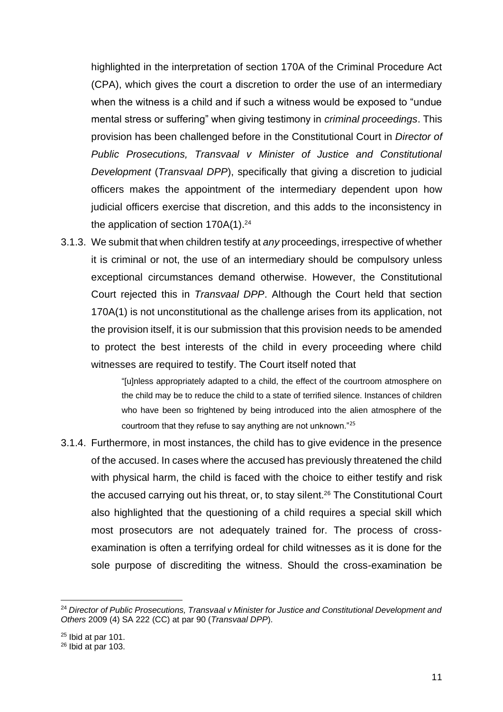highlighted in the interpretation of section 170A of the Criminal Procedure Act (CPA), which gives the court a discretion to order the use of an intermediary when the witness is a child and if such a witness would be exposed to "undue mental stress or suffering" when giving testimony in *criminal proceedings*. This provision has been challenged before in the Constitutional Court in *Director of Public Prosecutions, Transvaal v Minister of Justice and Constitutional Development* (*Transvaal DPP*), specifically that giving a discretion to judicial officers makes the appointment of the intermediary dependent upon how judicial officers exercise that discretion, and this adds to the inconsistency in the application of section  $170A(1).^{24}$ 

3.1.3. We submit that when children testify at *any* proceedings, irrespective of whether it is criminal or not, the use of an intermediary should be compulsory unless exceptional circumstances demand otherwise. However, the Constitutional Court rejected this in *Transvaal DPP*. Although the Court held that section 170A(1) is not unconstitutional as the challenge arises from its application, not the provision itself, it is our submission that this provision needs to be amended to protect the best interests of the child in every proceeding where child witnesses are required to testify. The Court itself noted that

> "[u]nless appropriately adapted to a child, the effect of the courtroom atmosphere on the child may be to reduce the child to a state of terrified silence. Instances of children who have been so frightened by being introduced into the alien atmosphere of the courtroom that they refuse to say anything are not unknown."<sup>25</sup>

3.1.4. Furthermore, in most instances, the child has to give evidence in the presence of the accused. In cases where the accused has previously threatened the child with physical harm, the child is faced with the choice to either testify and risk the accused carrying out his threat, or, to stay silent.<sup>26</sup> The Constitutional Court also highlighted that the questioning of a child requires a special skill which most prosecutors are not adequately trained for. The process of crossexamination is often a terrifying ordeal for child witnesses as it is done for the sole purpose of discrediting the witness. Should the cross-examination be

<sup>24</sup> *Director of Public Prosecutions, Transvaal v Minister for Justice and Constitutional Development and Others* 2009 (4) SA 222 (CC) at par 90 (*Transvaal DPP*).

 $25$  Ibid at par 101.

 $26$  Ibid at par 103.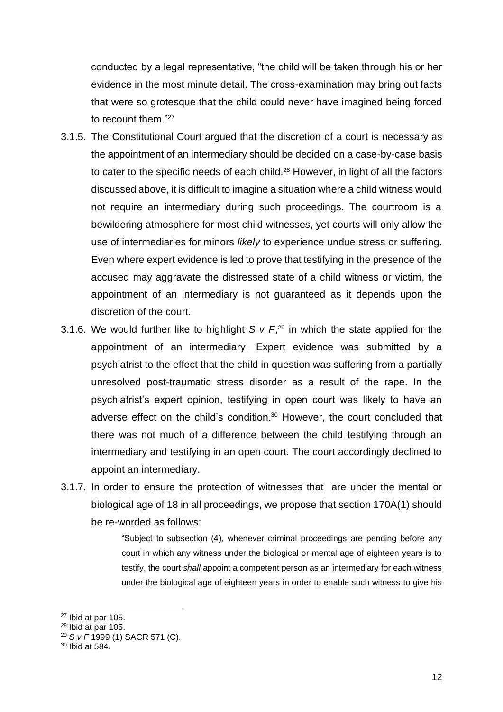conducted by a legal representative, "the child will be taken through his or her evidence in the most minute detail. The cross-examination may bring out facts that were so grotesque that the child could never have imagined being forced to recount them."<sup>27</sup>

- 3.1.5. The Constitutional Court argued that the discretion of a court is necessary as the appointment of an intermediary should be decided on a case-by-case basis to cater to the specific needs of each child.<sup>28</sup> However, in light of all the factors discussed above, it is difficult to imagine a situation where a child witness would not require an intermediary during such proceedings. The courtroom is a bewildering atmosphere for most child witnesses, yet courts will only allow the use of intermediaries for minors *likely* to experience undue stress or suffering. Even where expert evidence is led to prove that testifying in the presence of the accused may aggravate the distressed state of a child witness or victim, the appointment of an intermediary is not guaranteed as it depends upon the discretion of the court.
- 3.1.6. We would further like to highlight  $S \vee F$ <sup>29</sup> in which the state applied for the appointment of an intermediary. Expert evidence was submitted by a psychiatrist to the effect that the child in question was suffering from a partially unresolved post-traumatic stress disorder as a result of the rape. In the psychiatrist's expert opinion, testifying in open court was likely to have an adverse effect on the child's condition.<sup>30</sup> However, the court concluded that there was not much of a difference between the child testifying through an intermediary and testifying in an open court. The court accordingly declined to appoint an intermediary.
- 3.1.7. In order to ensure the protection of witnesses that are under the mental or biological age of 18 in all proceedings, we propose that section 170A(1) should be re-worded as follows:

"Subject to subsection (4), whenever criminal proceedings are pending before any court in which any witness under the biological or mental age of eighteen years is to testify, the court *shall* appoint a competent person as an intermediary for each witness under the biological age of eighteen years in order to enable such witness to give his

<sup>27</sup> Ibid at par 105.

 $28$  Ibid at par 105.

<sup>29</sup> *S v F* 1999 (1) SACR 571 (C).

<sup>30</sup> Ibid at 584.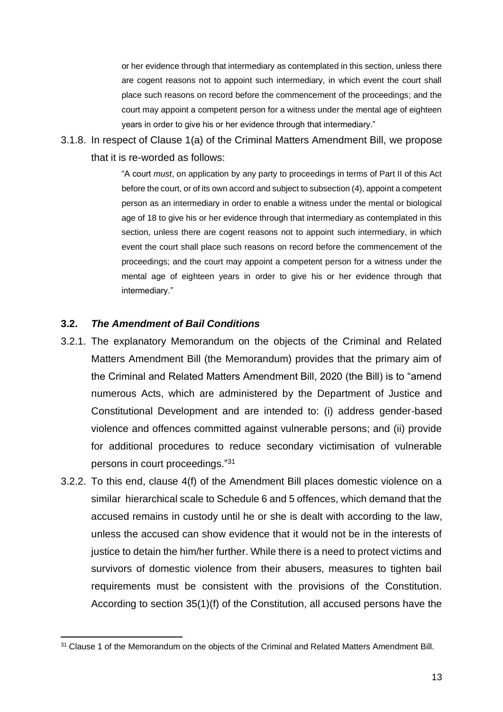or her evidence through that intermediary as contemplated in this section, unless there are cogent reasons not to appoint such intermediary, in which event the court shall place such reasons on record before the commencement of the proceedings; and the court may appoint a competent person for a witness under the mental age of eighteen years in order to give his or her evidence through that intermediary."

3.1.8. In respect of Clause 1(a) of the Criminal Matters Amendment Bill, we propose that it is re-worded as follows:

> "A court *must*, on application by any party to proceedings in terms of Part II of this Act before the court, or of its own accord and subject to subsection (4), appoint a competent person as an intermediary in order to enable a witness under the mental or biological age of 18 to give his or her evidence through that intermediary as contemplated in this section, unless there are cogent reasons not to appoint such intermediary, in which event the court shall place such reasons on record before the commencement of the proceedings; and the court may appoint a competent person for a witness under the mental age of eighteen years in order to give his or her evidence through that intermediary."

#### **3.2.** *The Amendment of Bail Conditions*

- 3.2.1. The explanatory Memorandum on the objects of the Criminal and Related Matters Amendment Bill (the Memorandum) provides that the primary aim of the Criminal and Related Matters Amendment Bill, 2020 (the Bill) is to "amend numerous Acts, which are administered by the Department of Justice and Constitutional Development and are intended to: (i) address gender-based violence and offences committed against vulnerable persons; and (ii) provide for additional procedures to reduce secondary victimisation of vulnerable persons in court proceedings." 31
- 3.2.2. To this end, clause 4(f) of the Amendment Bill places domestic violence on a similar hierarchical scale to Schedule 6 and 5 offences, which demand that the accused remains in custody until he or she is dealt with according to the law, unless the accused can show evidence that it would not be in the interests of justice to detain the him/her further. While there is a need to protect victims and survivors of domestic violence from their abusers, measures to tighten bail requirements must be consistent with the provisions of the Constitution. According to section 35(1)(f) of the Constitution, all accused persons have the

<sup>&</sup>lt;sup>31</sup> Clause 1 of the Memorandum on the objects of the Criminal and Related Matters Amendment Bill.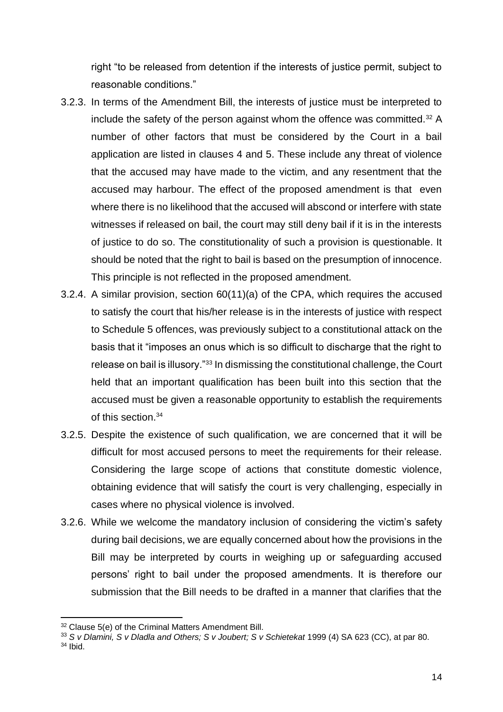right "to be released from detention if the interests of justice permit, subject to reasonable conditions."

- 3.2.3. In terms of the Amendment Bill, the interests of justice must be interpreted to include the safety of the person against whom the offence was committed.<sup>32</sup> A number of other factors that must be considered by the Court in a bail application are listed in clauses 4 and 5. These include any threat of violence that the accused may have made to the victim, and any resentment that the accused may harbour. The effect of the proposed amendment is that even where there is no likelihood that the accused will abscond or interfere with state witnesses if released on bail, the court may still deny bail if it is in the interests of justice to do so. The constitutionality of such a provision is questionable. It should be noted that the right to bail is based on the presumption of innocence. This principle is not reflected in the proposed amendment.
- 3.2.4. A similar provision, section 60(11)(a) of the CPA, which requires the accused to satisfy the court that his/her release is in the interests of justice with respect to Schedule 5 offences, was previously subject to a constitutional attack on the basis that it "imposes an onus which is so difficult to discharge that the right to release on bail is illusory."<sup>33</sup> In dismissing the constitutional challenge, the Court held that an important qualification has been built into this section that the accused must be given a reasonable opportunity to establish the requirements of this section.<sup>34</sup>
- 3.2.5. Despite the existence of such qualification, we are concerned that it will be difficult for most accused persons to meet the requirements for their release. Considering the large scope of actions that constitute domestic violence, obtaining evidence that will satisfy the court is very challenging, especially in cases where no physical violence is involved.
- 3.2.6. While we welcome the mandatory inclusion of considering the victim's safety during bail decisions, we are equally concerned about how the provisions in the Bill may be interpreted by courts in weighing up or safeguarding accused persons' right to bail under the proposed amendments. It is therefore our submission that the Bill needs to be drafted in a manner that clarifies that the

<sup>&</sup>lt;sup>32</sup> Clause 5(e) of the Criminal Matters Amendment Bill.

<sup>33</sup> *S v Dlamini, S v Dladla and Others; S v Joubert; S v Schietekat* 1999 (4) SA 623 (CC), at par 80.

 $34$  Ibid.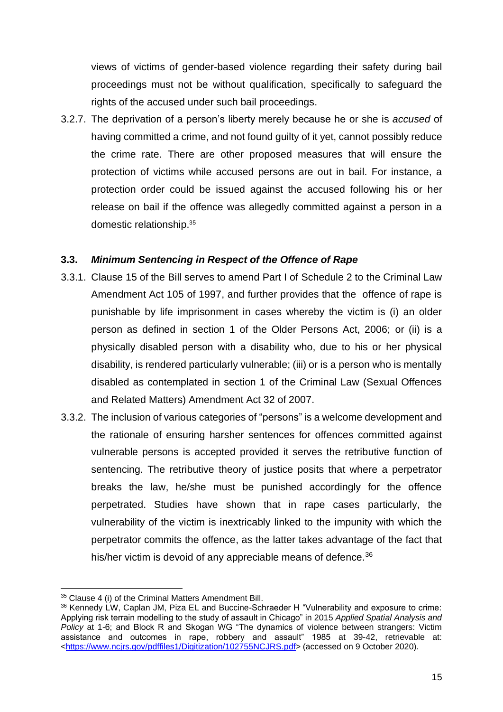views of victims of gender-based violence regarding their safety during bail proceedings must not be without qualification, specifically to safeguard the rights of the accused under such bail proceedings.

3.2.7. The deprivation of a person's liberty merely because he or she is *accused* of having committed a crime, and not found guilty of it yet, cannot possibly reduce the crime rate. There are other proposed measures that will ensure the protection of victims while accused persons are out in bail. For instance, a protection order could be issued against the accused following his or her release on bail if the offence was allegedly committed against a person in a domestic relationship.<sup>35</sup>

### **3.3.** *Minimum Sentencing in Respect of the Offence of Rape*

- 3.3.1. Clause 15 of the Bill serves to amend Part I of Schedule 2 to the Criminal Law Amendment Act 105 of 1997, and further provides that the offence of rape is punishable by life imprisonment in cases whereby the victim is (i) an older person as defined in section 1 of the Older Persons Act, 2006; or (ii) is a physically disabled person with a disability who, due to his or her physical disability, is rendered particularly vulnerable; (iii) or is a person who is mentally disabled as contemplated in section 1 of the Criminal Law (Sexual Offences and Related Matters) Amendment Act 32 of 2007.
- 3.3.2. The inclusion of various categories of "persons" is a welcome development and the rationale of ensuring harsher sentences for offences committed against vulnerable persons is accepted provided it serves the retributive function of sentencing. The retributive theory of justice posits that where a perpetrator breaks the law, he/she must be punished accordingly for the offence perpetrated. Studies have shown that in rape cases particularly, the vulnerability of the victim is inextricably linked to the impunity with which the perpetrator commits the offence, as the latter takes advantage of the fact that his/her victim is devoid of any appreciable means of defence.<sup>36</sup>

<sup>&</sup>lt;sup>35</sup> Clause 4 (i) of the Criminal Matters Amendment Bill.

<sup>36</sup> Kennedy LW, Caplan JM, Piza EL and Buccine-Schraeder H "Vulnerability and exposure to crime: Applying risk terrain modelling to the study of assault in Chicago" in 2015 *Applied Spatial Analysis and Policy* at 1-6; and Block R and Skogan WG "The dynamics of violence between strangers: Victim assistance and outcomes in rape, robbery and assault" 1985 at 39-42, retrievable at: [<https://www.ncjrs.gov/pdffiles1/Digitization/102755NCJRS.pdf>](https://www.ncjrs.gov/pdffiles1/Digitization/102755NCJRS.pdf) (accessed on 9 October 2020).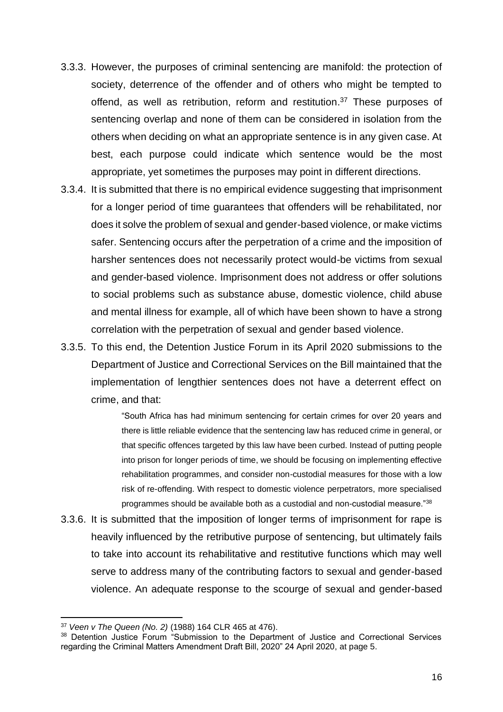- 3.3.3. However, the purposes of criminal sentencing are manifold: the protection of society, deterrence of the offender and of others who might be tempted to offend, as well as retribution, reform and restitution.<sup>37</sup> These purposes of sentencing overlap and none of them can be considered in isolation from the others when deciding on what an appropriate sentence is in any given case. At best, each purpose could indicate which sentence would be the most appropriate, yet sometimes the purposes may point in different directions.
- 3.3.4. It is submitted that there is no empirical evidence suggesting that imprisonment for a longer period of time guarantees that offenders will be rehabilitated, nor does it solve the problem of sexual and gender-based violence, or make victims safer. Sentencing occurs after the perpetration of a crime and the imposition of harsher sentences does not necessarily protect would-be victims from sexual and gender-based violence. Imprisonment does not address or offer solutions to social problems such as substance abuse, domestic violence, child abuse and mental illness for example, all of which have been shown to have a strong correlation with the perpetration of sexual and gender based violence.
- 3.3.5. To this end, the Detention Justice Forum in its April 2020 submissions to the Department of Justice and Correctional Services on the Bill maintained that the implementation of lengthier sentences does not have a deterrent effect on crime, and that:

"South Africa has had minimum sentencing for certain crimes for over 20 years and there is little reliable evidence that the sentencing law has reduced crime in general, or that specific offences targeted by this law have been curbed. Instead of putting people into prison for longer periods of time, we should be focusing on implementing effective rehabilitation programmes, and consider non-custodial measures for those with a low risk of re-offending. With respect to domestic violence perpetrators, more specialised programmes should be available both as a custodial and non-custodial measure."<sup>38</sup>

3.3.6. It is submitted that the imposition of longer terms of imprisonment for rape is heavily influenced by the retributive purpose of sentencing, but ultimately fails to take into account its rehabilitative and restitutive functions which may well serve to address many of the contributing factors to sexual and gender-based violence. An adequate response to the scourge of sexual and gender-based

<sup>37</sup> *Veen v The Queen (No. 2)* (1988) 164 CLR 465 at 476).

<sup>&</sup>lt;sup>38</sup> Detention Justice Forum "Submission to the Department of Justice and Correctional Services regarding the Criminal Matters Amendment Draft Bill, 2020" 24 April 2020, at page 5.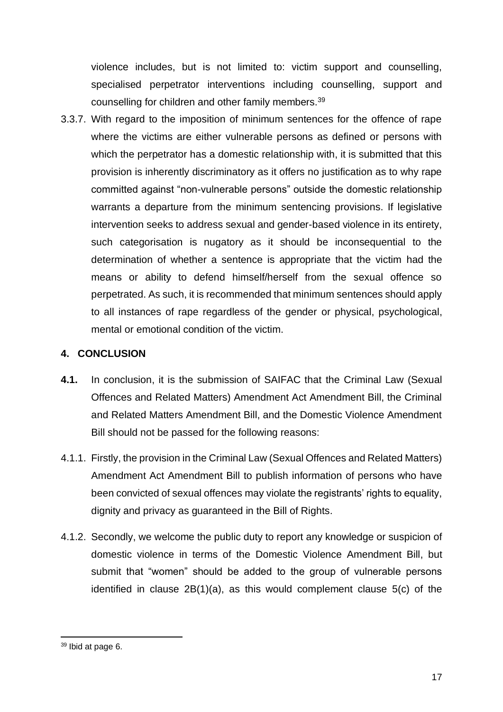violence includes, but is not limited to: victim support and counselling, specialised perpetrator interventions including counselling, support and counselling for children and other family members.<sup>39</sup>

3.3.7. With regard to the imposition of minimum sentences for the offence of rape where the victims are either vulnerable persons as defined or persons with which the perpetrator has a domestic relationship with, it is submitted that this provision is inherently discriminatory as it offers no justification as to why rape committed against "non-vulnerable persons" outside the domestic relationship warrants a departure from the minimum sentencing provisions. If legislative intervention seeks to address sexual and gender-based violence in its entirety, such categorisation is nugatory as it should be inconsequential to the determination of whether a sentence is appropriate that the victim had the means or ability to defend himself/herself from the sexual offence so perpetrated. As such, it is recommended that minimum sentences should apply to all instances of rape regardless of the gender or physical, psychological, mental or emotional condition of the victim.

# **4. CONCLUSION**

- **4.1.** In conclusion, it is the submission of SAIFAC that the Criminal Law (Sexual Offences and Related Matters) Amendment Act Amendment Bill, the Criminal and Related Matters Amendment Bill, and the Domestic Violence Amendment Bill should not be passed for the following reasons:
- 4.1.1. Firstly, the provision in the Criminal Law (Sexual Offences and Related Matters) Amendment Act Amendment Bill to publish information of persons who have been convicted of sexual offences may violate the registrants' rights to equality, dignity and privacy as guaranteed in the Bill of Rights.
- 4.1.2. Secondly, we welcome the public duty to report any knowledge or suspicion of domestic violence in terms of the Domestic Violence Amendment Bill, but submit that "women" should be added to the group of vulnerable persons identified in clause 2B(1)(a), as this would complement clause 5(c) of the

<sup>39</sup> Ibid at page 6.